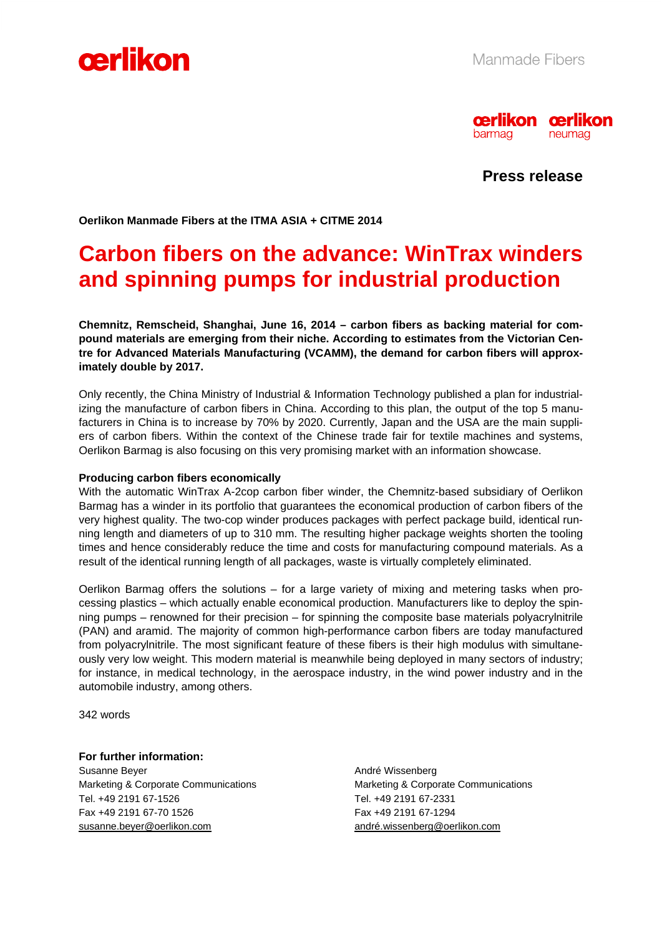



**Press release** 

**Oerlikon Manmade Fibers at the ITMA ASIA + CITME 2014** 

# **Carbon fibers on the advance: WinTrax winders and spinning pumps for industrial production**

**Chemnitz, Remscheid, Shanghai, June 16, 2014 – carbon fibers as backing material for compound materials are emerging from their niche. According to estimates from the Victorian Centre for Advanced Materials Manufacturing (VCAMM), the demand for carbon fibers will approximately double by 2017.** 

Only recently, the China Ministry of Industrial & Information Technology published a plan for industrializing the manufacture of carbon fibers in China. According to this plan, the output of the top 5 manufacturers in China is to increase by 70% by 2020. Currently, Japan and the USA are the main suppliers of carbon fibers. Within the context of the Chinese trade fair for textile machines and systems, Oerlikon Barmag is also focusing on this very promising market with an information showcase.

### **Producing carbon fibers economically**

With the automatic WinTrax A-2cop carbon fiber winder, the Chemnitz-based subsidiary of Oerlikon Barmag has a winder in its portfolio that guarantees the economical production of carbon fibers of the very highest quality. The two-cop winder produces packages with perfect package build, identical running length and diameters of up to 310 mm. The resulting higher package weights shorten the tooling times and hence considerably reduce the time and costs for manufacturing compound materials. As a result of the identical running length of all packages, waste is virtually completely eliminated.

Oerlikon Barmag offers the solutions – for a large variety of mixing and metering tasks when processing plastics – which actually enable economical production. Manufacturers like to deploy the spinning pumps – renowned for their precision – for spinning the composite base materials polyacrylnitrile (PAN) and aramid. The majority of common high-performance carbon fibers are today manufactured from polyacrylnitrile. The most significant feature of these fibers is their high modulus with simultaneously very low weight. This modern material is meanwhile being deployed in many sectors of industry; for instance, in medical technology, in the aerospace industry, in the wind power industry and in the automobile industry, among others.

342 words

### **For further information:**

Susanne Beyer **André Wissenberg** André Wissenberg Marketing & Corporate Communications Marketing & Corporate Communications Tel. +49 2191 67-1526 Tel. +49 2191 67-2331 Fax +49 2191 67-70 1526 Fax +49 2191 67-1294 susanne.beyer@oerlikon.com andré.wissenberg@oerlikon.com